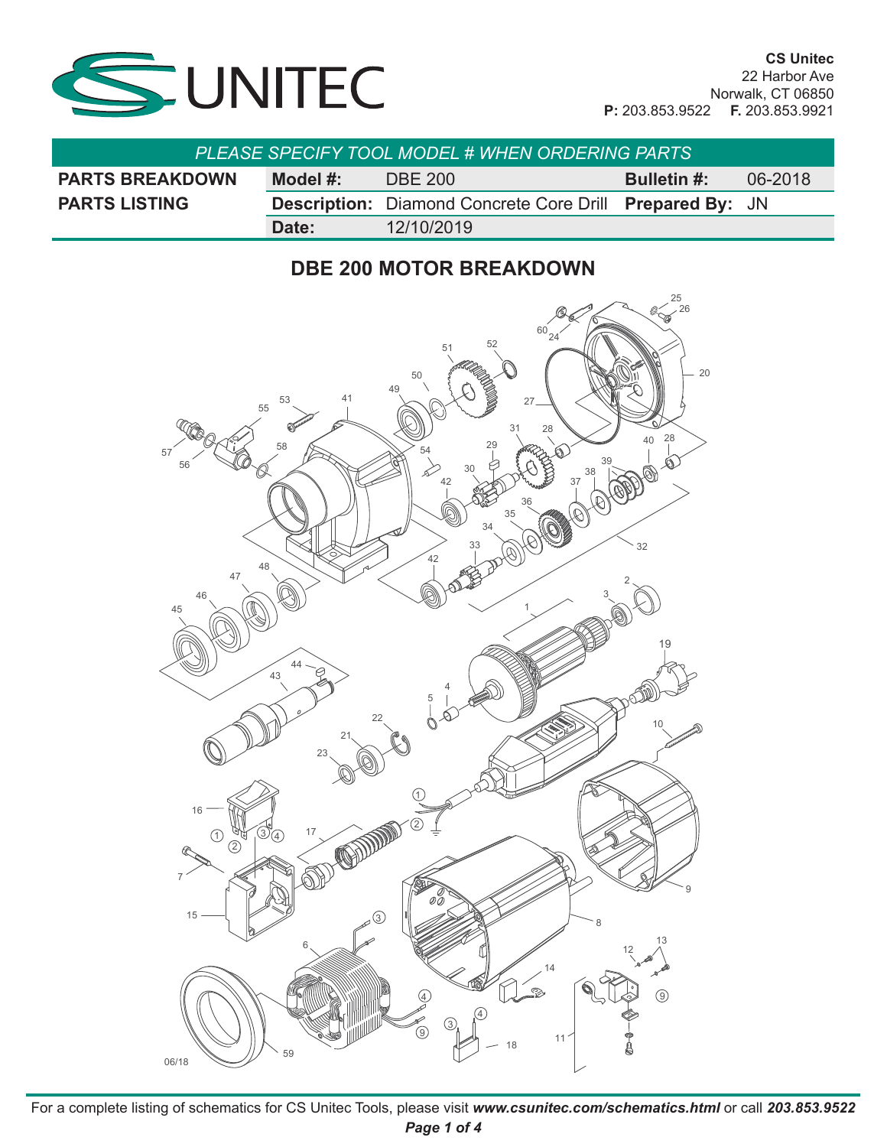

| <b>PLEASE SPECIFY TOOL MODEL # WHEN ORDERING PARTS</b> |          |                                                                        |  |         |
|--------------------------------------------------------|----------|------------------------------------------------------------------------|--|---------|
| <b>PARTS BREAKDOWN</b>                                 | Model #: | <b>Bulletin #:</b><br>DBE 200                                          |  | 06-2018 |
| <b>PARTS LISTING</b>                                   |          | <b>Description:</b> Diamond Concrete Core Drill <b>Prepared By:</b> JN |  |         |
|                                                        | Date:    | 12/10/2019                                                             |  |         |

## **DBE 200 MOTOR BREAKDOWN**



For a complete listing of schematics for CS Unitec Tools, please visit *www.csunitec.com/schematics.html* or call *203.853.9522 Page 1 of 4*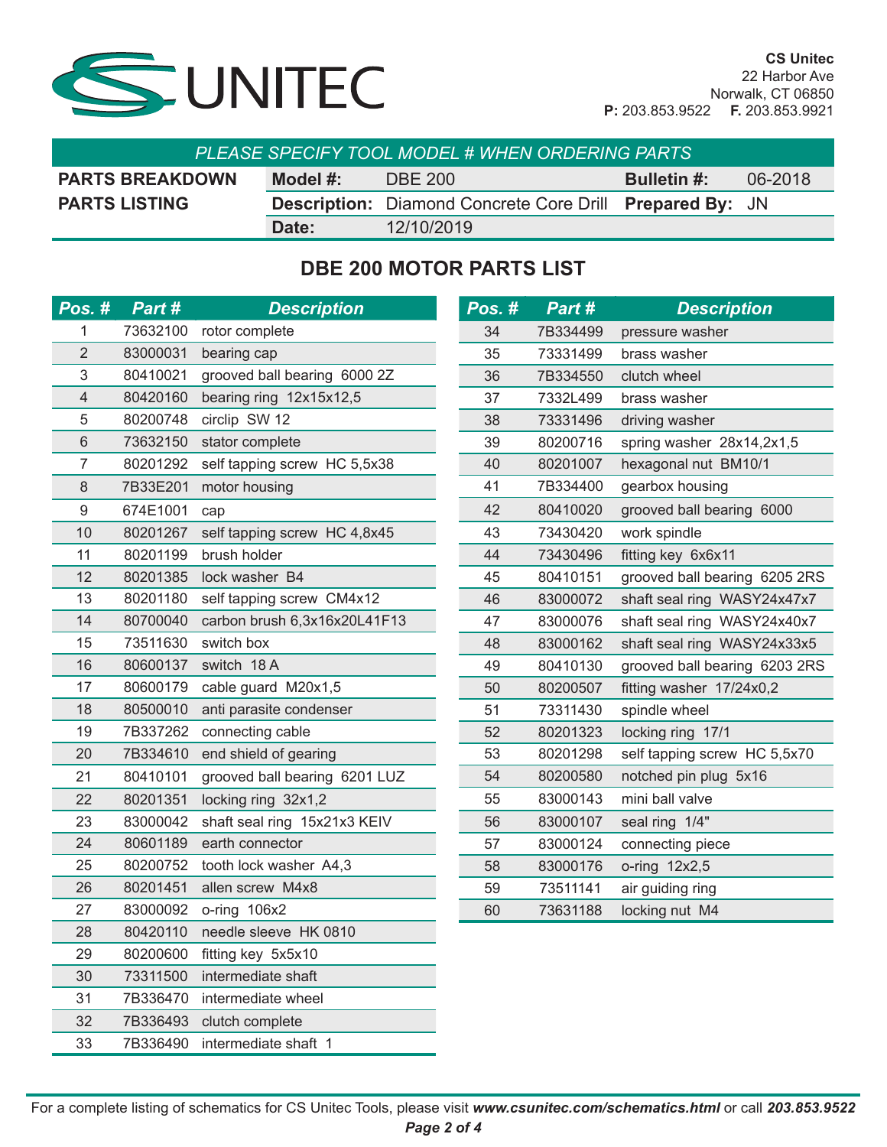

| <b>PLEASE SPECIFY TOOL MODEL # WHEN ORDERING PARTS</b> |          |                                                                        |                    |         |  |
|--------------------------------------------------------|----------|------------------------------------------------------------------------|--------------------|---------|--|
| <b>PARTS BREAKDOWN</b>                                 | Model #: | <b>DBE 200</b>                                                         | <b>Bulletin #:</b> | 06-2018 |  |
| <b>PARTS LISTING</b>                                   |          | <b>Description:</b> Diamond Concrete Core Drill <b>Prepared By:</b> JN |                    |         |  |
|                                                        | Date:    | 12/10/2019                                                             |                    |         |  |

## **DBE 200 MOTOR PARTS LIST**

| Pos. #         | Part #   | <b>Description</b>            | Pos. # | Part #   | <b>Description</b>            |
|----------------|----------|-------------------------------|--------|----------|-------------------------------|
| 1              | 73632100 | rotor complete                | 34     | 7B334499 | pressure washer               |
| $\overline{2}$ | 83000031 | bearing cap                   | 35     | 73331499 | brass washer                  |
| 3              | 80410021 | grooved ball bearing 6000 2Z  | 36     | 7B334550 | clutch wheel                  |
| 4              | 80420160 | bearing ring 12x15x12,5       | 37     | 7332L499 | brass washer                  |
| 5              | 80200748 | circlip SW 12                 | 38     | 73331496 | driving washer                |
| 6              | 73632150 | stator complete               | 39     | 80200716 | spring washer 28x14,2x1,5     |
| 7              | 80201292 | self tapping screw HC 5,5x38  | 40     | 80201007 | hexagonal nut BM10/1          |
| 8              | 7B33E201 | motor housing                 | 41     | 7B334400 | gearbox housing               |
| 9              | 674E1001 | cap                           | 42     | 80410020 | grooved ball bearing 6000     |
| 10             | 80201267 | self tapping screw HC 4,8x45  | 43     | 73430420 | work spindle                  |
| 11             | 80201199 | brush holder                  | 44     | 73430496 | fitting key 6x6x11            |
| 12             | 80201385 | lock washer B4                | 45     | 80410151 | grooved ball bearing 6205 2RS |
| 13             | 80201180 | self tapping screw CM4x12     | 46     | 83000072 | shaft seal ring WASY24x47x7   |
| 14             | 80700040 | carbon brush 6,3x16x20L41F13  | 47     | 83000076 | shaft seal ring WASY24x40x7   |
| 15             | 73511630 | switch box                    | 48     | 83000162 | shaft seal ring WASY24x33x5   |
| 16             | 80600137 | switch 18 A                   | 49     | 80410130 | grooved ball bearing 6203 2RS |
| 17             | 80600179 | cable guard M20x1,5           | 50     | 80200507 | fitting washer 17/24x0,2      |
| 18             | 80500010 | anti parasite condenser       | 51     | 73311430 | spindle wheel                 |
| 19             | 7B337262 | connecting cable              | 52     | 80201323 | locking ring 17/1             |
| 20             | 7B334610 | end shield of gearing         | 53     | 80201298 | self tapping screw HC 5,5x70  |
| 21             | 80410101 | grooved ball bearing 6201 LUZ | 54     | 80200580 | notched pin plug 5x16         |
| 22             | 80201351 | locking ring 32x1,2           | 55     | 83000143 | mini ball valve               |
| 23             | 83000042 | shaft seal ring 15x21x3 KEIV  | 56     | 83000107 | seal ring 1/4"                |
| 24             | 80601189 | earth connector               | 57     | 83000124 | connecting piece              |
| 25             | 80200752 | tooth lock washer A4,3        | 58     | 83000176 | o-ring 12x2,5                 |
| 26             | 80201451 | allen screw M4x8              | 59     | 73511141 | air guiding ring              |
| 27             | 83000092 | o-ring 106x2                  | 60     | 73631188 | locking nut M4                |
| 28             | 80420110 | needle sleeve HK 0810         |        |          |                               |
| 29             | 80200600 | fitting key 5x5x10            |        |          |                               |
| 30             | 73311500 | intermediate shaft            |        |          |                               |
| 31             | 7B336470 | intermediate wheel            |        |          |                               |
| 32             | 7B336493 | clutch complete               |        |          |                               |
| 33             | 7B336490 | intermediate shaft 1          |        |          |                               |

For a complete listing of schematics for CS Unitec Tools, please visit *www.csunitec.com/schematics.html* or call *203.853.9522 Page 2 of 4*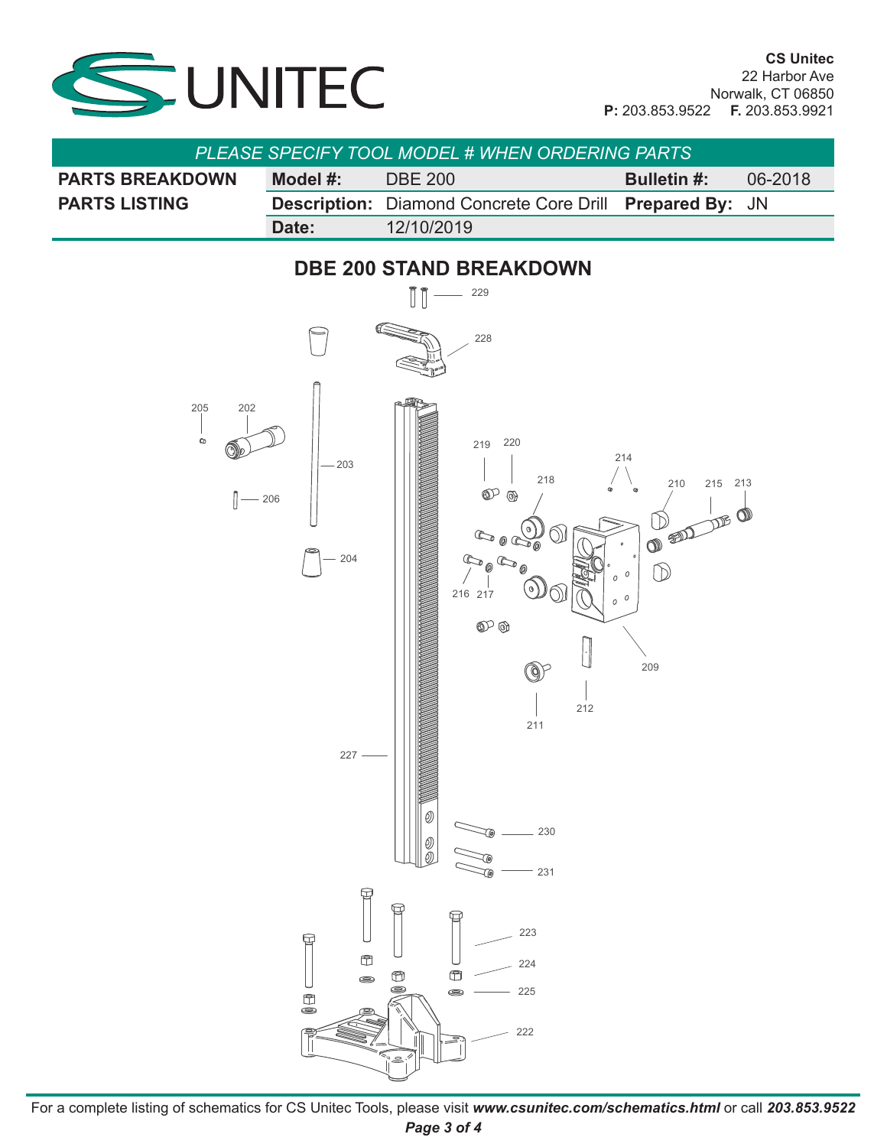

| <b>PLEASE SPECIFY TOOL MODEL # WHEN ORDERING PARTS</b> |          |                                                                        |                    |         |
|--------------------------------------------------------|----------|------------------------------------------------------------------------|--------------------|---------|
| <b>PARTS BREAKDOWN</b>                                 | Model #: | <b>DBE 200</b>                                                         | <b>Bulletin #:</b> | 06-2018 |
| <b>PARTS LISTING</b>                                   |          | <b>Description:</b> Diamond Concrete Core Drill <b>Prepared By:</b> JN |                    |         |
|                                                        | Date:    | 12/10/2019                                                             |                    |         |



For a complete listing of schematics for CS Unitec Tools, please visit *www.csunitec.com/schematics.html* or call *203.853.9522 Page 3 of 4*